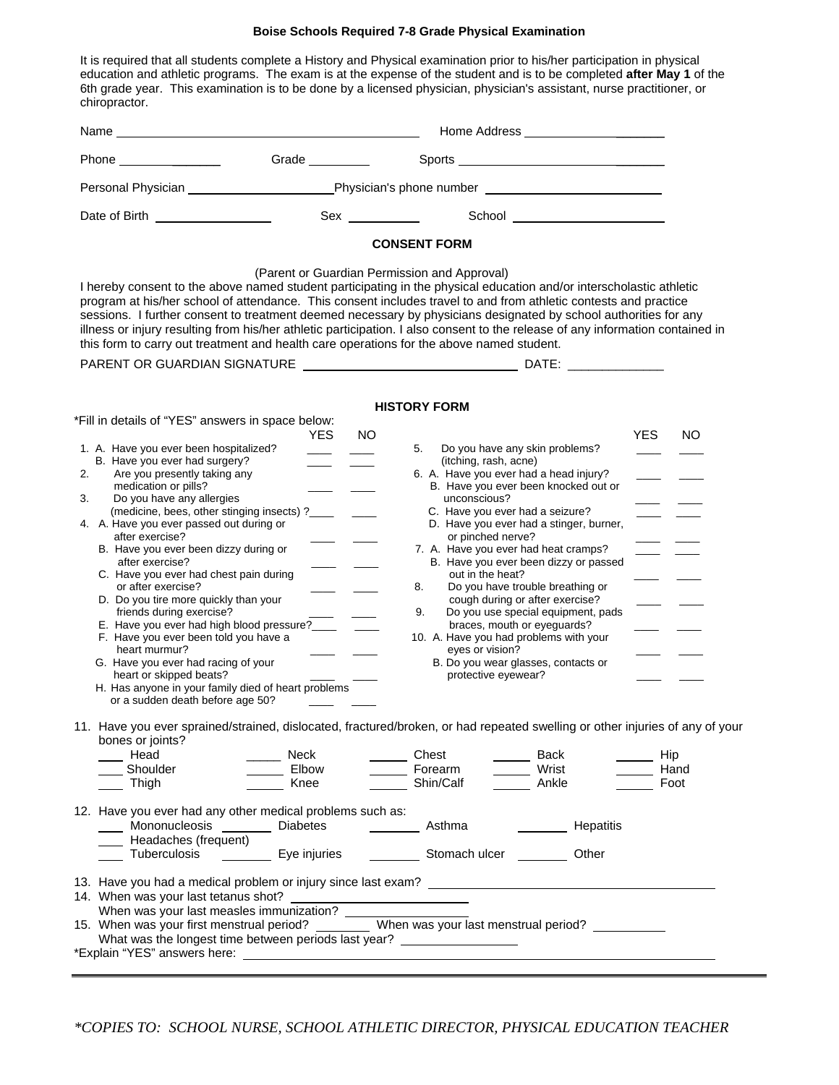## **Boise Schools Required 7-8 Grade Physical Examination**

It is required that all students complete a History and Physical examination prior to his/her participation in physical education and athletic programs. The exam is at the expense of the student and is to be completed **after May 1** of the 6th grade year. This examination is to be done by a licensed physician, physician's assistant, nurse practitioner, or chiropractor.

| Phone <u>and the state of the state of the state of the state of the state of the state of the state of the state of the state of the state of the state of the state of the state of the state of the state of the state of the</u>                                                                                                                                                                                                                                                                                                                                                                                                                                 | Grade __________                       |                                                                                                                                                                                                                                                                                                                                                                                                                                                                                                                                                                                                                                                                                  |
|----------------------------------------------------------------------------------------------------------------------------------------------------------------------------------------------------------------------------------------------------------------------------------------------------------------------------------------------------------------------------------------------------------------------------------------------------------------------------------------------------------------------------------------------------------------------------------------------------------------------------------------------------------------------|----------------------------------------|----------------------------------------------------------------------------------------------------------------------------------------------------------------------------------------------------------------------------------------------------------------------------------------------------------------------------------------------------------------------------------------------------------------------------------------------------------------------------------------------------------------------------------------------------------------------------------------------------------------------------------------------------------------------------------|
|                                                                                                                                                                                                                                                                                                                                                                                                                                                                                                                                                                                                                                                                      |                                        | Personal Physician __________________________Physician's phone number _____________________________                                                                                                                                                                                                                                                                                                                                                                                                                                                                                                                                                                              |
| Date of Birth <b>Exercise 2008</b>                                                                                                                                                                                                                                                                                                                                                                                                                                                                                                                                                                                                                                   |                                        | School __________________________                                                                                                                                                                                                                                                                                                                                                                                                                                                                                                                                                                                                                                                |
|                                                                                                                                                                                                                                                                                                                                                                                                                                                                                                                                                                                                                                                                      |                                        | <b>CONSENT FORM</b>                                                                                                                                                                                                                                                                                                                                                                                                                                                                                                                                                                                                                                                              |
|                                                                                                                                                                                                                                                                                                                                                                                                                                                                                                                                                                                                                                                                      |                                        | (Parent or Guardian Permission and Approval)<br>I hereby consent to the above named student participating in the physical education and/or interscholastic athletic<br>program at his/her school of attendance. This consent includes travel to and from athletic contests and practice<br>sessions. I further consent to treatment deemed necessary by physicians designated by school authorities for any<br>illness or injury resulting from his/her athletic participation. I also consent to the release of any information contained in<br>this form to carry out treatment and health care operations for the above named student.                                        |
|                                                                                                                                                                                                                                                                                                                                                                                                                                                                                                                                                                                                                                                                      |                                        | <b>HISTORY FORM</b>                                                                                                                                                                                                                                                                                                                                                                                                                                                                                                                                                                                                                                                              |
| *Fill in details of "YES" answers in space below:                                                                                                                                                                                                                                                                                                                                                                                                                                                                                                                                                                                                                    |                                        |                                                                                                                                                                                                                                                                                                                                                                                                                                                                                                                                                                                                                                                                                  |
| 1. A. Have you ever been hospitalized?<br>B. Have you ever had surgery?<br>Are you presently taking any<br>2.<br>medication or pills?<br>Do you have any allergies<br>3.<br>(medicine, bees, other stinging insects) ?_<br>4. A. Have you ever passed out during or<br>after exercise?<br>B. Have you ever been dizzy during or<br>after exercise?<br>C. Have you ever had chest pain during<br>or after exercise?<br>D. Do you tire more quickly than your<br>friends during exercise?<br>E. Have you ever had high blood pressure?____<br>F. Have you ever been told you have a<br>heart murmur?<br>G. Have you ever had racing of your<br>heart or skipped beats? | <b>YES</b><br>$\overline{\phantom{a}}$ | NO.<br>YES.<br>NO.<br>5.<br>Do you have any skin problems?<br>(itching, rash, acne)<br>6. A. Have you ever had a head injury?<br>B. Have you ever been knocked out or<br>unconscious?<br>C. Have you ever had a seizure?<br>D. Have you ever had a stinger, burner,<br>or pinched nerve?<br>7. A. Have you ever had heat cramps?<br>B. Have you ever been dizzy or passed<br>out in the heat?<br>Do you have trouble breathing or<br>8.<br>cough during or after exercise?<br>9.<br>Do you use special equipment, pads<br>braces, mouth or eyeguards?<br>10. A. Have you had problems with your<br>eyes or vision?<br>B. Do you wear glasses, contacts or<br>protective eyewear? |
| H. Has anyone in your family died of heart problems<br>or a sudden death before age 50?                                                                                                                                                                                                                                                                                                                                                                                                                                                                                                                                                                              |                                        |                                                                                                                                                                                                                                                                                                                                                                                                                                                                                                                                                                                                                                                                                  |
| bones or joints?<br>Head<br>Shoulder<br>Thigh                                                                                                                                                                                                                                                                                                                                                                                                                                                                                                                                                                                                                        | Neck<br>Elbow<br>Knee                  | 11. Have you ever sprained/strained, dislocated, fractured/broken, or had repeated swelling or other injuries of any of your<br>Chest<br>Hip<br>Back<br>Forearm <u>I</u> Wrist<br>Hand<br>Shin/Calf<br>Ankle<br>Foot                                                                                                                                                                                                                                                                                                                                                                                                                                                             |
| 12. Have you ever had any other medical problems such as:<br>Mononucleosis ________ Diabetes ____________ Asthma<br>Headaches (frequent)                                                                                                                                                                                                                                                                                                                                                                                                                                                                                                                             |                                        | Hepatitis<br>Tuberculosis ___________ Eye injuries ____________ Stomach ulcer __________ Other                                                                                                                                                                                                                                                                                                                                                                                                                                                                                                                                                                                   |
| 14. When was your last tetanus shot?<br>When was your last tetanus shot?<br>When was your last measles immunization?                                                                                                                                                                                                                                                                                                                                                                                                                                                                                                                                                 |                                        | 13. Have you had a medical problem or injury since last exam? ___________________<br>15. When was your last measles immunization:<br>15. When was your first menstrual period? __________ When was your last menstrual period? ___________<br>What was the longest time between periods last year? ___________________                                                                                                                                                                                                                                                                                                                                                           |